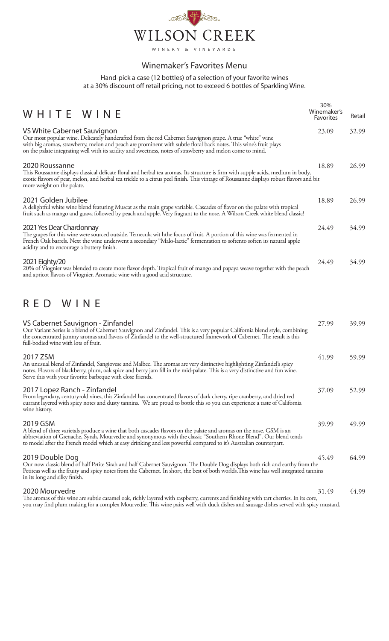

## Winemaker's Favorites Menu

Hand-pick a case (12 bottles) of a selection of your favorite wines at a 30% discount off retail pricing, not to exceed 6 bottles of Sparkling Wine.

| WHITE WINE                                                                                                                                                                                                                                                                                                                                                                  | 30%<br>Winemaker's<br>Favorites | Retail |
|-----------------------------------------------------------------------------------------------------------------------------------------------------------------------------------------------------------------------------------------------------------------------------------------------------------------------------------------------------------------------------|---------------------------------|--------|
| VS White Cabernet Sauvignon<br>Our most popular wine. Delicately handcrafted from the red Cabernet Sauvignon grape. A true "white" wine<br>with big aromas, strawberry, melon and peach are prominent with subtle floral back notes. This wine's fruit plays<br>on the palate integrating well with its acidity and sweetness, notes of strawberry and melon come to mind.  | 23.09                           | 32.99  |
| 2020 Roussanne<br>This Roussanne displays classical delicate floral and herbal tea aromas. Its structure is firm with supple acids, medium in body,<br>exotic flavors of pear, melon, and herbal tea trickle to a citrus peel finish. This vintage of Roussanne displays robust flavors and bit<br>more weight on the palate.                                               | 18.89                           | 26.99  |
| 2021 Golden Jubilee<br>A delightful white wine blend featuring Muscat as the main grape variable. Cascades of flavor on the palate with tropical<br>fruit such as mango and guava followed by peach and apple. Very fragrant to the nose. A Wilson Creek white blend classic!                                                                                               | 18.89                           | 26.99  |
| 2021 Yes Dear Chardonnay<br>The grapes for this wine were sourced outside. Temecula wit hthe focus of fruit. A portion of this wine was fermented in<br>French Oak barrels. Next the wine underwent a secondary "Malo-lactic" fermentation to softento soften its natural apple<br>acidity and to encourage a buttery finish.                                               | 24.49                           | 34.99  |
| 2021 Eighty/20<br>20% of Viognier was blended to create more flavor depth. Tropical fruit of mango and papaya weave together with the peach<br>and apricot flavors of Viognier. Aromatic wine with a good acid structure.                                                                                                                                                   | 24.49                           | 34.99  |
| RED WINE                                                                                                                                                                                                                                                                                                                                                                    |                                 |        |
| VS Cabernet Sauvignon - Zinfandel<br>Our Variant Series is a blend of Cabernet Sauvignon and Zinfandel. This is a very popular California blend style, combining<br>the concentrated jammy aromas and flavors of Zinfandel to the well-structured framework of Cabernet. The result is this<br>full-bodied wine with lots of fruit.                                         | 27.99                           | 39.99  |
| 2017 ZSM<br>An unusual blend of Zinfandel, Sangiovese and Malbec. The aromas are very distinctive highlighting Zinfandel's spicy<br>notes. Flavors of blackberry, plum, oak spice and berry jam fill in the mid-palate. This is a very distinctive and fun wine.<br>Serve this with your favorite barbeque with close friends.                                              | 41.99                           | 59.99  |
| 2017 Lopez Ranch - Zinfandel<br>From legendary, century-old vines, this Zinfandel has concentrated flavors of dark cherry, ripe cranberry, and dried red<br>currant layered with spicy notes and dusty tannins. We are proud to bottle this so you can experience a taste of California<br>wine history.                                                                    | 37.09                           | 52.99  |
| 2019 GSM<br>A blend of three varietals produce a wine that both cascades flavors on the palate and aromas on the nose. GSM is an<br>abbreviation of Grenache, Syrah, Mourvedre and synonymous with the classic "Southern Rhone Blend". Our blend tends<br>to model after the French model which at easy drinking and less powerful compared to it's Australian counterpart. | 39.99                           | 49.99  |
| 2019 Double Dog<br>Our now classic blend of half Petite Sirah and half Cabernet Sauvignon. The Double Dog displays both rich and earthy from the<br>Petiteas well as the fruity and spicy notes from the Cabernet. In short, the best of both worlds. This wine has well integrated tannins<br>in its long and silky finish.                                                | 45.49                           | 64.99  |
| 2020 Mourvedre<br>The aromas of this wine are subtle caramel oak, richly layered with raspberry, currents and finishing with tart cherries. In its core,                                                                                                                                                                                                                    | 31.49                           | 44.99  |

you may find plum making for a complex Mourvedre. This wine pairs well with duck dishes and sausage dishes served with spicy mustard.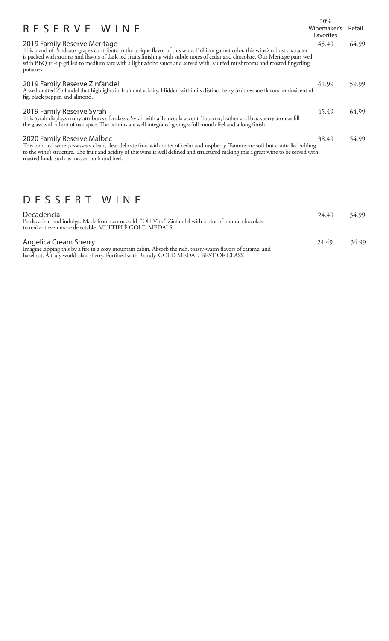|                                                                                                                                                                                                                                                                                                                                                                                                                                                | 30%                             |        |
|------------------------------------------------------------------------------------------------------------------------------------------------------------------------------------------------------------------------------------------------------------------------------------------------------------------------------------------------------------------------------------------------------------------------------------------------|---------------------------------|--------|
| RESERVE WINE                                                                                                                                                                                                                                                                                                                                                                                                                                   | Winemaker's<br><b>Favorites</b> | Retail |
| 2019 Family Reserve Meritage<br>This blend of Bordeaux grapes contribute to the unique flavor of this wine. Brilliant garnet color, this wine's robust character<br>is packed with aromas and flavors of dark red fruits finishing with subtle notes of cedar and chocolate. Our Meritage pairs well<br>with BBQ tri-tip grilled to medium rare with a light adobo sauce and served with sautéed mushrooms and roasted fingerling<br>potatoes. | 45.49                           | 64.99  |
| 2019 Family Reserve Zinfandel<br>A well-crafted Zinfandel that highlights its fruit and acidity. Hidden within its distinct berry fruitness are flavors reminsicent of<br>fig, black pepper, and almond.                                                                                                                                                                                                                                       | 41.99                           | 59.99  |
| 2019 Family Reserve Syrah<br>This Syrah displays many attributes of a classic Syrah with a Temecula accent. Tobacco, leather and blackberry aromas fill<br>the glass with a hint of oak spice. The tannins are well integrated giving a full mouth feel and a long finish.                                                                                                                                                                     | 45.49                           | 64.99  |
| 2020 Family Reserve Malbec<br>This bold red wine possesses a clean, clear delicate fruit with notes of cedar and raspberry. Tannins are soft but controlled adding<br>to the wine's structure. The fruit and acidity of this wine is well defined and structured making this a great wine to be served with<br>roasted foods such as roasted pork and beef.                                                                                    | 38.49                           | 54.99  |

## DESSERT WINE

| Decadencia<br>Be decadent and indulge. Made from century-old "Old Vine" Zinfandel with a hint of natural chocolate<br>to make it even more delectable. MULTIPLE GOLD MEDALS                                                  | 24.49 | 34.99 |
|------------------------------------------------------------------------------------------------------------------------------------------------------------------------------------------------------------------------------|-------|-------|
| Angelica Cream Sherry<br>Imagine sipping this by a fire in a cozy mountain cabin. Absorb the rich, toasty-warm flavors of caramel and hazelnut. A truly world-class sherry. Fortified with Brandy. GOLD MEDAL. BEST OF CLASS | 24.49 | 34.99 |